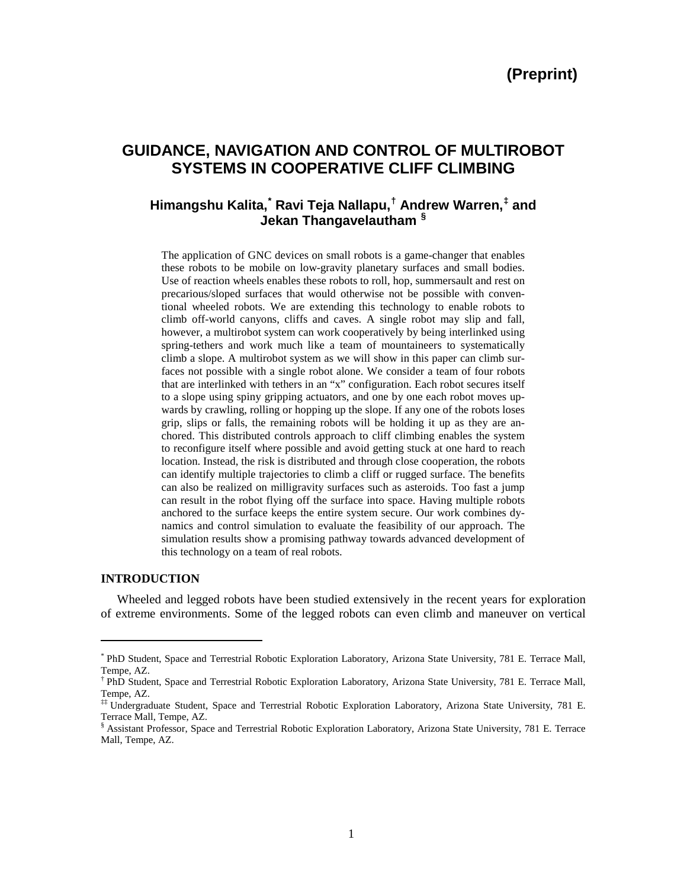# **GUIDANCE, NAVIGATION AND CONTROL OF MULTIROBOT SYSTEMS IN COOPERATIVE CLIFF CLIMBING**

# **Himangshu Kalita, [\\*](#page-0-0) Ravi Teja Nallapu, [†](#page-0-1) Andrew Warren,[‡](#page-0-2) and Jekan Thangavelautham [§](#page-0-3)**

The application of GNC devices on small robots is a game-changer that enables these robots to be mobile on low-gravity planetary surfaces and small bodies. Use of reaction wheels enables these robots to roll, hop, summersault and rest on precarious/sloped surfaces that would otherwise not be possible with conventional wheeled robots. We are extending this technology to enable robots to climb off-world canyons, cliffs and caves. A single robot may slip and fall, however, a multirobot system can work cooperatively by being interlinked using spring-tethers and work much like a team of mountaineers to systematically climb a slope. A multirobot system as we will show in this paper can climb surfaces not possible with a single robot alone. We consider a team of four robots that are interlinked with tethers in an "x" configuration. Each robot secures itself to a slope using spiny gripping actuators, and one by one each robot moves upwards by crawling, rolling or hopping up the slope. If any one of the robots loses grip, slips or falls, the remaining robots will be holding it up as they are anchored. This distributed controls approach to cliff climbing enables the system to reconfigure itself where possible and avoid getting stuck at one hard to reach location. Instead, the risk is distributed and through close cooperation, the robots can identify multiple trajectories to climb a cliff or rugged surface. The benefits can also be realized on milligravity surfaces such as asteroids. Too fast a jump can result in the robot flying off the surface into space. Having multiple robots anchored to the surface keeps the entire system secure. Our work combines dynamics and control simulation to evaluate the feasibility of our approach. The simulation results show a promising pathway towards advanced development of this technology on a team of real robots.

#### **INTRODUCTION**

 $\overline{a}$ 

Wheeled and legged robots have been studied extensively in the recent years for exploration of extreme environments. Some of the legged robots can even climb and maneuver on vertical

<span id="page-0-0"></span><sup>\*</sup> PhD Student, Space and Terrestrial Robotic Exploration Laboratory, Arizona State University, 781 E. Terrace Mall, Tempe, AZ.

<span id="page-0-1"></span><sup>†</sup> PhD Student, Space and Terrestrial Robotic Exploration Laboratory, Arizona State University, 781 E. Terrace Mall, Tempe, AZ.

<span id="page-0-2"></span><sup>‡‡</sup> Undergraduate Student, Space and Terrestrial Robotic Exploration Laboratory, Arizona State University, 781 E. Terrace Mall, Tempe, AZ.

<span id="page-0-3"></span><sup>§</sup> Assistant Professor, Space and Terrestrial Robotic Exploration Laboratory, Arizona State University, 781 E. Terrace Mall, Tempe, AZ.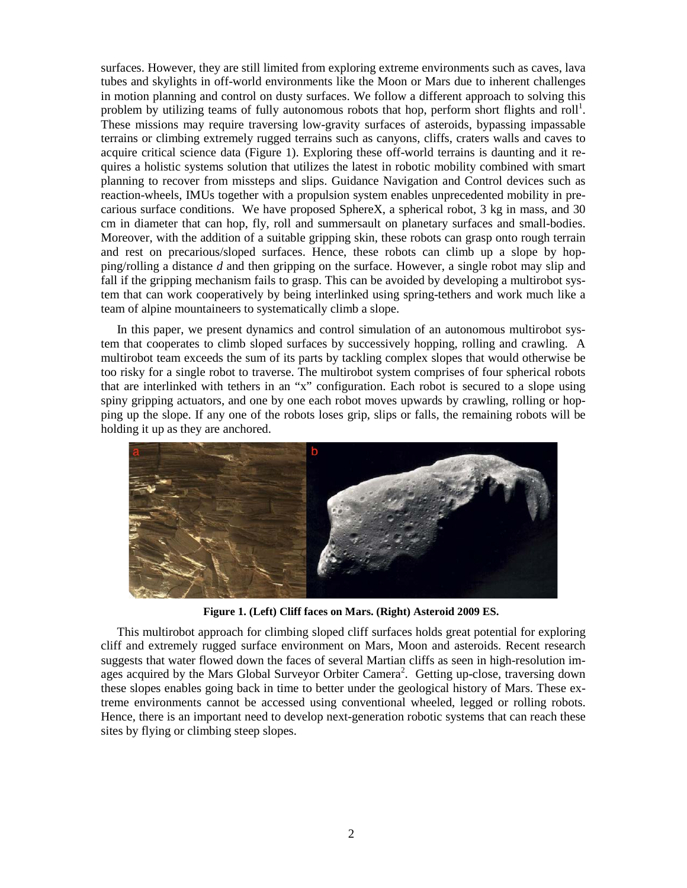surfaces. However, they are still limited from exploring extreme environments such as caves, lava tubes and skylights in off-world environments like the Moon or Mars due to inherent challenges in motion planning and control on dusty surfaces. We follow a different approach to solving this problem by utilizing teams of fully autonomous robots that hop, perform short flights and roll<sup>1</sup>. These missions may require traversing low-gravity surfaces of asteroids, bypassing impassable terrains or climbing extremely rugged terrains such as canyons, cliffs, craters walls and caves to acquire critical science data (Figure 1). Exploring these off-world terrains is daunting and it requires a holistic systems solution that utilizes the latest in robotic mobility combined with smart planning to recover from missteps and slips. Guidance Navigation and Control devices such as reaction-wheels, IMUs together with a propulsion system enables unprecedented mobility in precarious surface conditions. We have proposed SphereX, a spherical robot, 3 kg in mass, and 30 cm in diameter that can hop, fly, roll and summersault on planetary surfaces and small-bodies. Moreover, with the addition of a suitable gripping skin, these robots can grasp onto rough terrain and rest on precarious/sloped surfaces. Hence, these robots can climb up a slope by hopping/rolling a distance *d* and then gripping on the surface. However, a single robot may slip and fall if the gripping mechanism fails to grasp. This can be avoided by developing a multirobot system that can work cooperatively by being interlinked using spring-tethers and work much like a team of alpine mountaineers to systematically climb a slope.

In this paper, we present dynamics and control simulation of an autonomous multirobot system that cooperates to climb sloped surfaces by successively hopping, rolling and crawling. A multirobot team exceeds the sum of its parts by tackling complex slopes that would otherwise be too risky for a single robot to traverse. The multirobot system comprises of four spherical robots that are interlinked with tethers in an "x" configuration. Each robot is secured to a slope using spiny gripping actuators, and one by one each robot moves upwards by crawling, rolling or hopping up the slope. If any one of the robots loses grip, slips or falls, the remaining robots will be holding it up as they are anchored.



**Figure 1. (Left) Cliff faces on Mars. (Right) Asteroid 2009 ES.**

This multirobot approach for climbing sloped cliff surfaces holds great potential for exploring cliff and extremely rugged surface environment on Mars, Moon and asteroids. Recent research suggests that water flowed down the faces of several Martian cliffs as seen in high-resolution images acquired by the Mars Global Surveyor Orbiter Camera<sup>2</sup>. Getting up-close, traversing down these slopes enables going back in time to better under the geological history of Mars. These extreme environments cannot be accessed using conventional wheeled, legged or rolling robots. Hence, there is an important need to develop next-generation robotic systems that can reach these sites by flying or climbing steep slopes.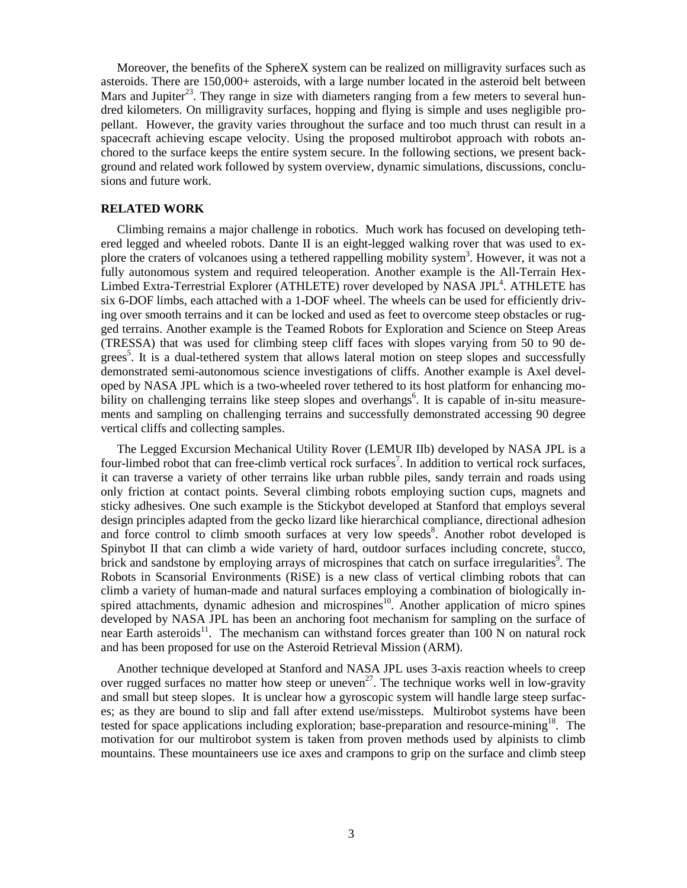Moreover, the benefits of the SphereX system can be realized on milligravity surfaces such as asteroids. There are 150,000+ asteroids, with a large number located in the asteroid belt between Mars and Jupiter<sup>23</sup>. They range in size with diameters ranging from a few meters to several hundred kilometers. On milligravity surfaces, hopping and flying is simple and uses negligible propellant. However, the gravity varies throughout the surface and too much thrust can result in a spacecraft achieving escape velocity. Using the proposed multirobot approach with robots anchored to the surface keeps the entire system secure. In the following sections, we present background and related work followed by system overview, dynamic simulations, discussions, conclusions and future work.

#### **RELATED WORK**

Climbing remains a major challenge in robotics. Much work has focused on developing tethered legged and wheeled robots. Dante II is an eight-legged walking rover that was used to explore the craters of volcanoes using a tethered rappelling mobility system<sup>3</sup>. However, it was not a fully autonomous system and required teleoperation. Another example is the All-Terrain Hex-Limbed Extra-Terrestrial Explorer (ATHLETE) rover developed by NASA JPL<sup>4</sup>. ATHLETE has six 6-DOF limbs, each attached with a 1-DOF wheel. The wheels can be used for efficiently driving over smooth terrains and it can be locked and used as feet to overcome steep obstacles or rugged terrains. Another example is the Teamed Robots for Exploration and Science on Steep Areas (TRESSA) that was used for climbing steep cliff faces with slopes varying from 50 to 90 degrees<sup>5</sup>. It is a dual-tethered system that allows lateral motion on steep slopes and successfully demonstrated semi-autonomous science investigations of cliffs. Another example is Axel developed by NASA JPL which is a two-wheeled rover tethered to its host platform for enhancing mobility on challenging terrains like steep slopes and overhangs<sup>6</sup>. It is capable of in-situ measurements and sampling on challenging terrains and successfully demonstrated accessing 90 degree vertical cliffs and collecting samples.

The Legged Excursion Mechanical Utility Rover (LEMUR IIb) developed by NASA JPL is a four-limbed robot that can free-climb vertical rock surfaces<sup>7</sup>. In addition to vertical rock surfaces, it can traverse a variety of other terrains like urban rubble piles, sandy terrain and roads using only friction at contact points. Several climbing robots employing suction cups, magnets and sticky adhesives. One such example is the Stickybot developed at Stanford that employs several design principles adapted from the gecko lizard like hierarchical compliance, directional adhesion and force control to climb smooth surfaces at very low speeds<sup>8</sup>. Another robot developed is Spinybot II that can climb a wide variety of hard, outdoor surfaces including concrete, stucco, brick and sandstone by employing arrays of microspines that catch on surface irregularities<sup>9</sup>. The Robots in Scansorial Environments (RiSE) is a new class of vertical climbing robots that can climb a variety of human-made and natural surfaces employing a combination of biologically inspired attachments, dynamic adhesion and microspines<sup>10</sup>. Another application of micro spines developed by NASA JPL has been an anchoring foot mechanism for sampling on the surface of near Earth asteroids<sup>11</sup>. The mechanism can withstand forces greater than  $100$  N on natural rock and has been proposed for use on the Asteroid Retrieval Mission (ARM).

Another technique developed at Stanford and NASA JPL uses 3-axis reaction wheels to creep over rugged surfaces no matter how steep or uneven<sup>27</sup>. The technique works well in low-gravity and small but steep slopes. It is unclear how a gyroscopic system will handle large steep surfaces; as they are bound to slip and fall after extend use/missteps. Multirobot systems have been tested for space applications including exploration; base-preparation and resource-mining<sup>18</sup>. The motivation for our multirobot system is taken from proven methods used by alpinists to climb mountains. These mountaineers use ice axes and crampons to grip on the surface and climb steep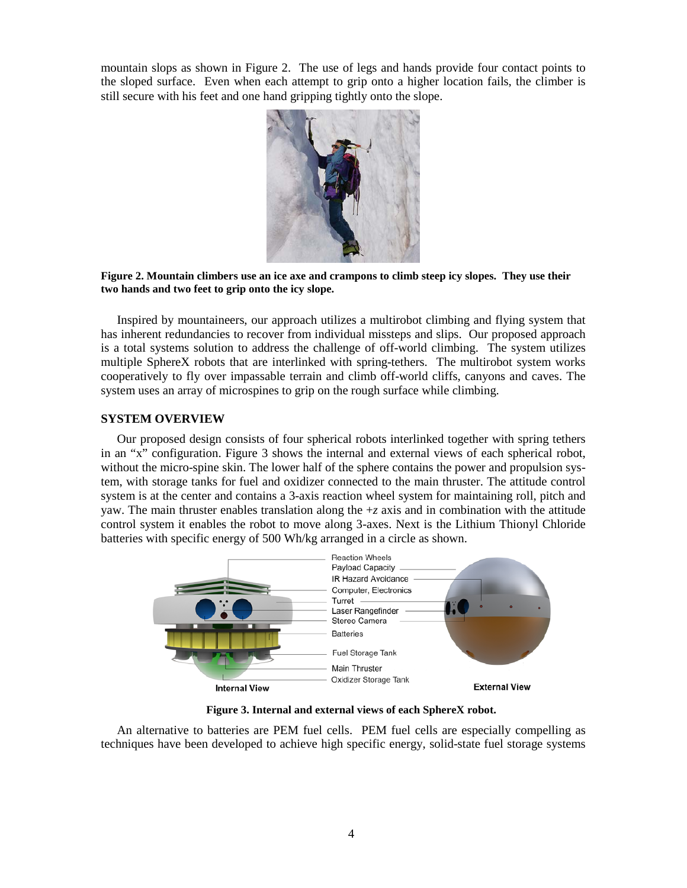mountain slops as shown in Figure 2. The use of legs and hands provide four contact points to the sloped surface. Even when each attempt to grip onto a higher location fails, the climber is still secure with his feet and one hand gripping tightly onto the slope.



**Figure 2. Mountain climbers use an ice axe and crampons to climb steep icy slopes. They use their two hands and two feet to grip onto the icy slope.**

Inspired by mountaineers, our approach utilizes a multirobot climbing and flying system that has inherent redundancies to recover from individual missteps and slips. Our proposed approach is a total systems solution to address the challenge of off-world climbing. The system utilizes multiple SphereX robots that are interlinked with spring-tethers. The multirobot system works cooperatively to fly over impassable terrain and climb off-world cliffs, canyons and caves. The system uses an array of microspines to grip on the rough surface while climbing.

# **SYSTEM OVERVIEW**

Our proposed design consists of four spherical robots interlinked together with spring tethers in an "x" configuration. Figure 3 shows the internal and external views of each spherical robot, without the micro-spine skin. The lower half of the sphere contains the power and propulsion system, with storage tanks for fuel and oxidizer connected to the main thruster. The attitude control system is at the center and contains a 3-axis reaction wheel system for maintaining roll, pitch and yaw. The main thruster enables translation along the  $+z$  axis and in combination with the attitude control system it enables the robot to move along 3-axes. Next is the Lithium Thionyl Chloride batteries with specific energy of 500 Wh/kg arranged in a circle as shown.



**Figure 3. Internal and external views of each SphereX robot.**

An alternative to batteries are PEM fuel cells. PEM fuel cells are especially compelling as techniques have been developed to achieve high specific energy, solid-state fuel storage systems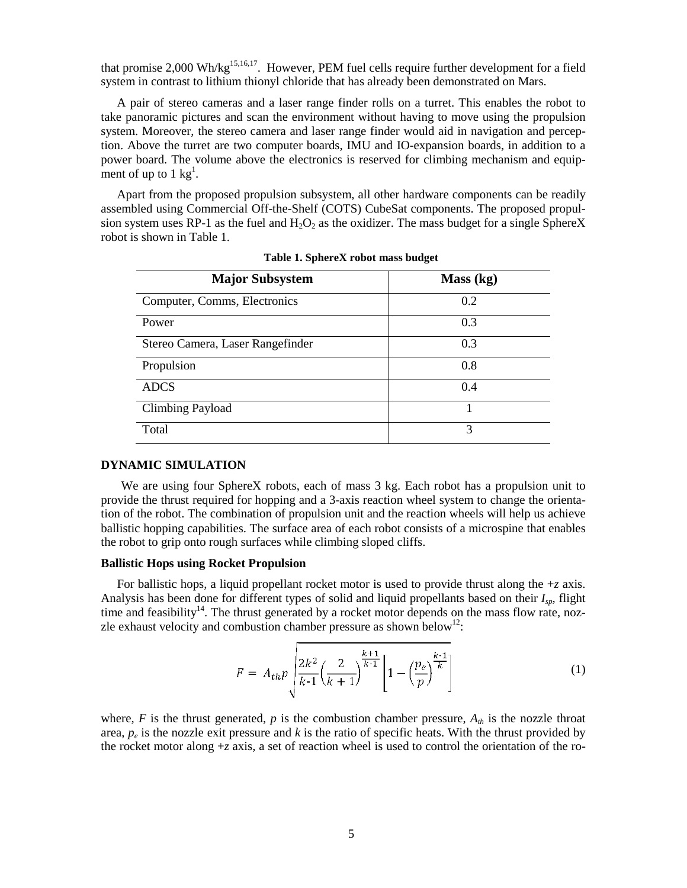that promise 2,000 Wh/kg<sup>15,16,17</sup>. However, PEM fuel cells require further development for a field system in contrast to lithium thionyl chloride that has already been demonstrated on Mars.

A pair of stereo cameras and a laser range finder rolls on a turret. This enables the robot to take panoramic pictures and scan the environment without having to move using the propulsion system. Moreover, the stereo camera and laser range finder would aid in navigation and perception. Above the turret are two computer boards, IMU and IO-expansion boards, in addition to a power board. The volume above the electronics is reserved for climbing mechanism and equipment of up to  $1 \text{ kg}^1$ .

Apart from the proposed propulsion subsystem, all other hardware components can be readily assembled using Commercial Off-the-Shelf (COTS) CubeSat components. The proposed propulsion system uses RP-1 as the fuel and  $H_2O_2$  as the oxidizer. The mass budget for a single SphereX robot is shown in Table 1.

| <b>Major Subsystem</b>           | Mass (kg) |
|----------------------------------|-----------|
| Computer, Comms, Electronics     | 0.2       |
| Power                            | 0.3       |
| Stereo Camera, Laser Rangefinder | 0.3       |
| Propulsion                       | 0.8       |
| <b>ADCS</b>                      | 0.4       |
| <b>Climbing Payload</b>          |           |
| Total                            | 3         |

**Table 1. SphereX robot mass budget**

#### **DYNAMIC SIMULATION**

We are using four SphereX robots, each of mass 3 kg. Each robot has a propulsion unit to provide the thrust required for hopping and a 3-axis reaction wheel system to change the orientation of the robot. The combination of propulsion unit and the reaction wheels will help us achieve ballistic hopping capabilities. The surface area of each robot consists of a microspine that enables the robot to grip onto rough surfaces while climbing sloped cliffs.

### **Ballistic Hops using Rocket Propulsion**

For ballistic hops, a liquid propellant rocket motor is used to provide thrust along the +*z* axis. Analysis has been done for different types of solid and liquid propellants based on their *Isp*, flight time and feasibility<sup>14</sup>. The thrust generated by a rocket motor depends on the mass flow rate, nozzle exhaust velocity and combustion chamber pressure as shown below<sup>12</sup>:

$$
F = A_{th}p \sqrt{\frac{2k^2}{k \cdot 1} \left(\frac{2}{k+1}\right)^{\frac{k+1}{k \cdot 1}}} \left[1 - \left(\frac{p_e}{p}\right)^{\frac{k+1}{k}}\right]
$$
(1)

where,  $F$  is the thrust generated,  $p$  is the combustion chamber pressure,  $A_{th}$  is the nozzle throat area,  $p_e$  is the nozzle exit pressure and  $k$  is the ratio of specific heats. With the thrust provided by the rocket motor along +*z* axis, a set of reaction wheel is used to control the orientation of the ro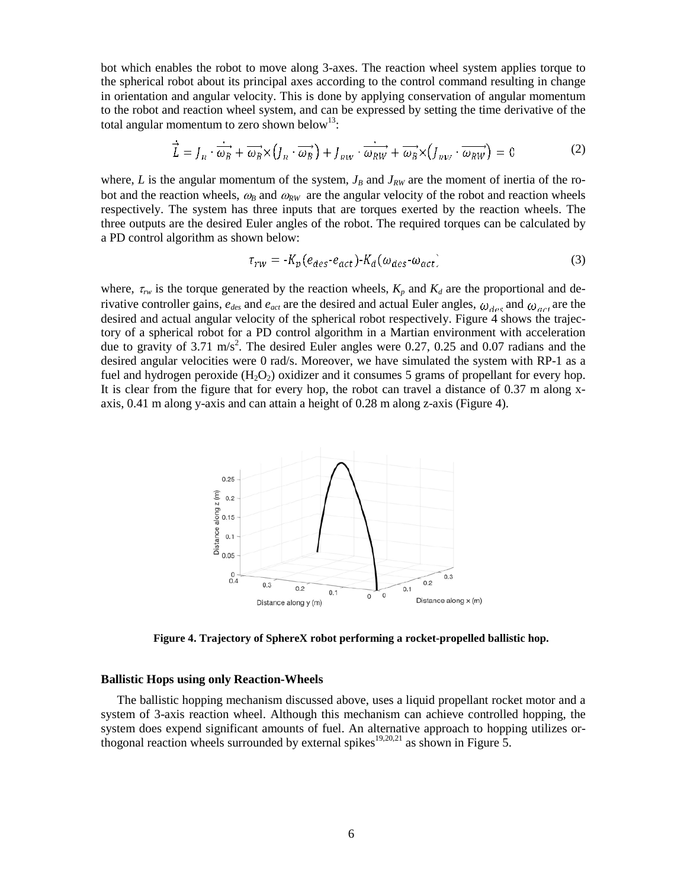bot which enables the robot to move along 3-axes. The reaction wheel system applies torque to the spherical robot about its principal axes according to the control command resulting in change in orientation and angular velocity. This is done by applying conservation of angular momentum to the robot and reaction wheel system, and can be expressed by setting the time derivative of the total angular momentum to zero shown below<sup>13</sup>:

$$
\vec{L} = J_R \cdot \vec{\omega_B} + \vec{\omega_B} \times (J_R \cdot \vec{\omega_B}) + J_{RW} \cdot \vec{\omega_{RW}} + \vec{\omega_B} \times (J_{RW} \cdot \vec{\omega_{RW}}) = 0
$$
 (2)

where, *L* is the angular momentum of the system,  $J_B$  and  $J_{RW}$  are the moment of inertia of the robot and the reaction wheels,  $\omega_B$  and  $\omega_{RW}$  are the angular velocity of the robot and reaction wheels respectively. The system has three inputs that are torques exerted by the reaction wheels. The three outputs are the desired Euler angles of the robot. The required torques can be calculated by a PD control algorithm as shown below:

$$
\tau_{rw} = -K_p(e_{des} \cdot e_{act}) \cdot K_d(\omega_{des} \cdot \omega_{act})
$$
\n(3)

where,  $\tau_{rw}$  is the torque generated by the reaction wheels,  $K_p$  and  $K_d$  are the proportional and derivative controller gains,  $e_{des}$  and  $e_{act}$  are the desired and actual Euler angles,  $\omega_{des}$  and  $\omega_{act}$  are the desired and actual angular velocity of the spherical robot respectively. Figure 4 shows the trajectory of a spherical robot for a PD control algorithm in a Martian environment with acceleration due to gravity of 3.71 m/s<sup>2</sup>. The desired Euler angles were 0.27, 0.25 and 0.07 radians and the desired angular velocities were 0 rad/s. Moreover, we have simulated the system with RP-1 as a fuel and hydrogen peroxide  $(H_2O_2)$  oxidizer and it consumes 5 grams of propellant for every hop. It is clear from the figure that for every hop, the robot can travel a distance of 0.37 m along xaxis, 0.41 m along y-axis and can attain a height of 0.28 m along z-axis (Figure 4).



**Figure 4. Trajectory of SphereX robot performing a rocket-propelled ballistic hop.**

#### **Ballistic Hops using only Reaction-Wheels**

The ballistic hopping mechanism discussed above, uses a liquid propellant rocket motor and a system of 3-axis reaction wheel. Although this mechanism can achieve controlled hopping, the system does expend significant amounts of fuel. An alternative approach to hopping utilizes orthogonal reaction wheels surrounded by external spikes<sup>19,20,21</sup> as shown in Figure 5.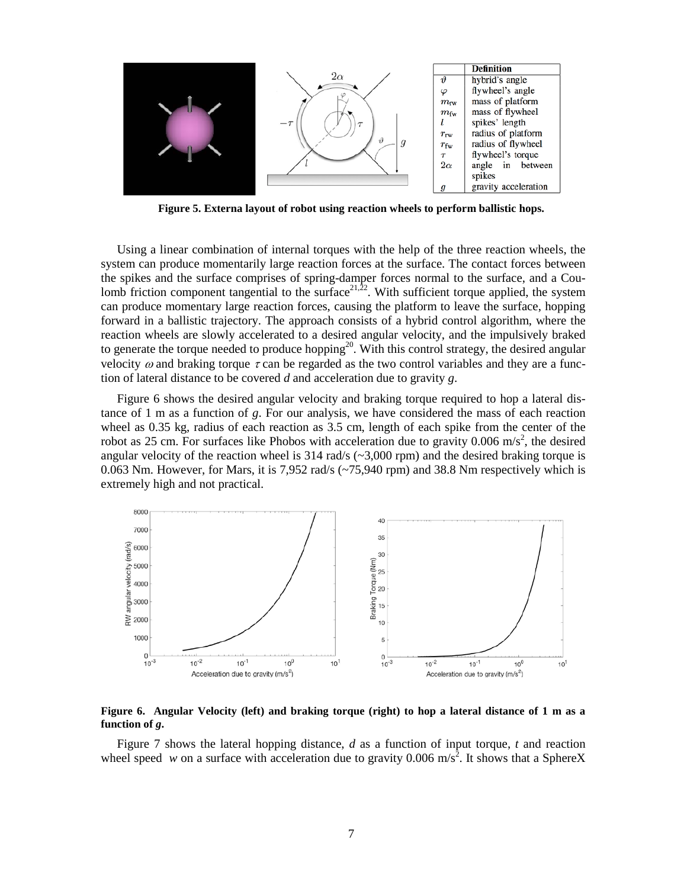

**Figure 5. Externa layout of robot using reaction wheels to perform ballistic hops.**

Using a linear combination of internal torques with the help of the three reaction wheels, the system can produce momentarily large reaction forces at the surface. The contact forces between the spikes and the surface comprises of spring-damper forces normal to the surface, and a Coulomb friction component tangential to the surface  $2^{1,22}$ . With sufficient torque applied, the system can produce momentary large reaction forces, causing the platform to leave the surface, hopping forward in a ballistic trajectory. The approach consists of a hybrid control algorithm, where the reaction wheels are slowly accelerated to a desired angular velocity, and the impulsively braked to generate the torque needed to produce hopping<sup>20</sup>. With this control strategy, the desired angular velocity  $\omega$  and braking torque  $\tau$  can be regarded as the two control variables and they are a function of lateral distance to be covered *d* and acceleration due to gravity *g*.

Figure 6 shows the desired angular velocity and braking torque required to hop a lateral distance of 1 m as a function of *g*. For our analysis, we have considered the mass of each reaction wheel as 0.35 kg, radius of each reaction as 3.5 cm, length of each spike from the center of the robot as 25 cm. For surfaces like Phobos with acceleration due to gravity 0.006 m/s<sup>2</sup>, the desired angular velocity of the reaction wheel is  $314 \text{ rad/s}$  ( $\sim$ 3,000 rpm) and the desired braking torque is 0.063 Nm. However, for Mars, it is 7,952 rad/s (~75,940 rpm) and 38.8 Nm respectively which is extremely high and not practical.



#### **Figure 6. Angular Velocity (left) and braking torque (right) to hop a lateral distance of 1 m as a function of** *g***.**

Figure 7 shows the lateral hopping distance, *d* as a function of input torque, *t* and reaction wheel speed *w* on a surface with acceleration due to gravity 0.006 m/s<sup>2</sup>. It shows that a SphereX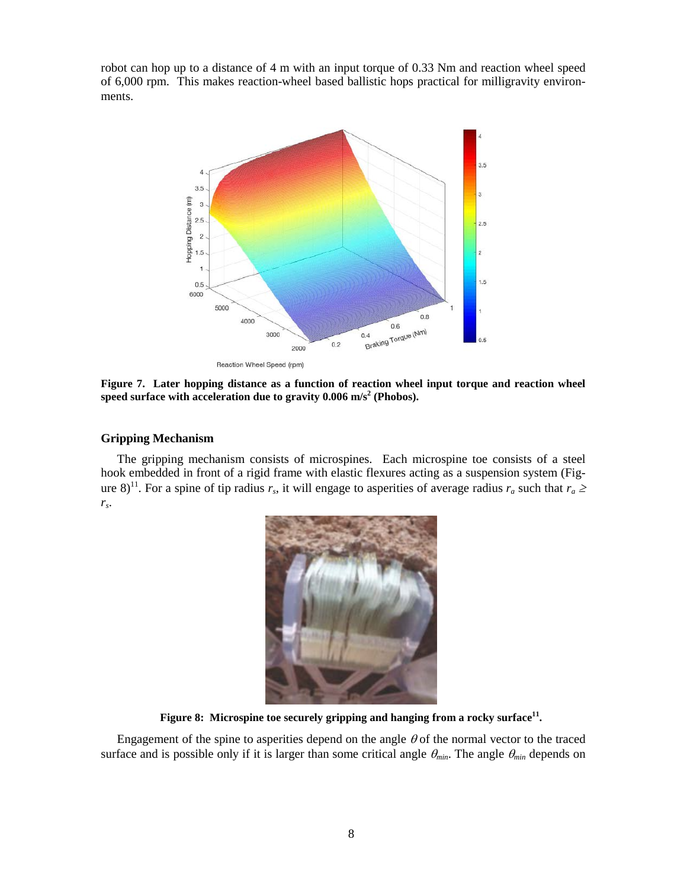robot can hop up to a distance of 4 m with an input torque of 0.33 Nm and reaction wheel speed of 6,000 rpm. This makes reaction-wheel based ballistic hops practical for milligravity environments.



**Figure 7. Later hopping distance as a function of reaction wheel input torque and reaction wheel**  speed surface with acceleration due to gravity  $0.006 \text{ m/s}^2$  (Phobos).

### **Gripping Mechanism**

The gripping mechanism consists of microspines. Each microspine toe consists of a steel hook embedded in front of a rigid frame with elastic flexures acting as a suspension system (Figure 8)<sup>11</sup>. For a spine of tip radius  $r_s$ , it will engage to asperities of average radius  $r_a$  such that  $r_a \ge$ *rs*.



Figure 8: Microspine toe securely gripping and hanging from a rocky surface<sup>11</sup>.

Engagement of the spine to asperities depend on the angle  $\theta$  of the normal vector to the traced surface and is possible only if it is larger than some critical angle  $\theta_{min}$ . The angle  $\theta_{min}$  depends on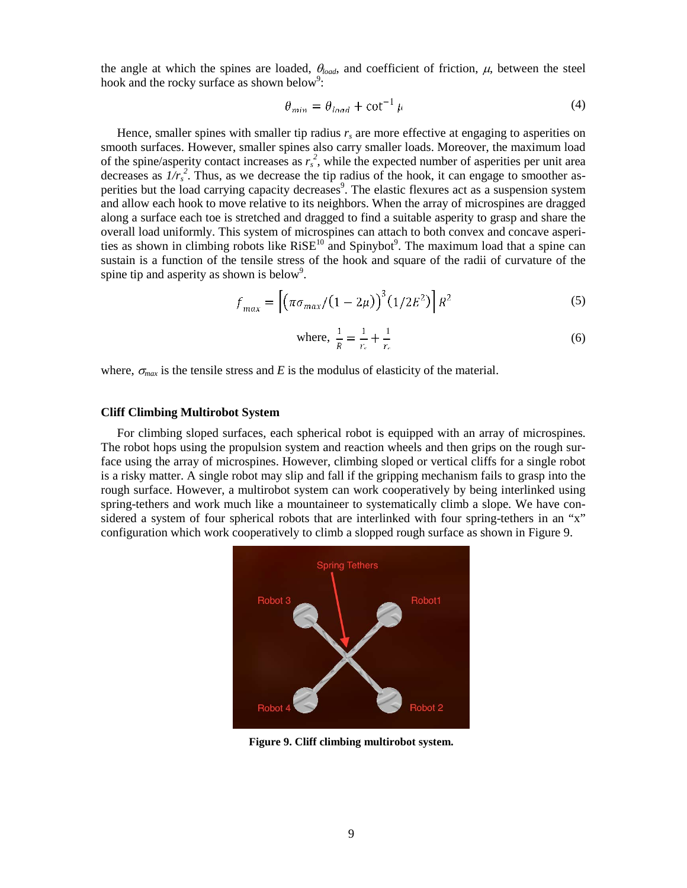the angle at which the spines are loaded,  $\theta_{load}$ , and coefficient of friction,  $\mu$ , between the steel hook and the rocky surface as shown below<sup>9</sup>:

$$
\theta_{min} = \theta_{load} + \cot^{-1} \mu \tag{4}
$$

Hence, smaller spines with smaller tip radius  $r_s$  are more effective at engaging to asperities on smooth surfaces. However, smaller spines also carry smaller loads. Moreover, the maximum load of the spine/asperity contact increases as  $r_s^2$ , while the expected number of asperities per unit area decreases as  $1/r_s^2$ . Thus, as we decrease the tip radius of the hook, it can engage to smoother asperities but the load carrying capacity decreases<sup>9</sup>. The elastic flexures act as a suspension system and allow each hook to move relative to its neighbors. When the array of microspines are dragged along a surface each toe is stretched and dragged to find a suitable asperity to grasp and share the overall load uniformly. This system of microspines can attach to both convex and concave asperities as shown in climbing robots like  $RISE^{10}$  and Spinybot<sup>9</sup>. The maximum load that a spine can sustain is a function of the tensile stress of the hook and square of the radii of curvature of the spine tip and asperity as shown is below<sup>9</sup>.

$$
f_{max} = \left[ \left( \pi \sigma_{max} / (1 - 2\mu) \right)^3 (1/2E^2) \right] R^2
$$
 (5)

where, 
$$
\frac{1}{R} = \frac{1}{r_s} + \frac{1}{r_s}
$$
 (6)

where,  $\sigma_{max}$  is the tensile stress and *E* is the modulus of elasticity of the material.

# **Cliff Climbing Multirobot System**

For climbing sloped surfaces, each spherical robot is equipped with an array of microspines. The robot hops using the propulsion system and reaction wheels and then grips on the rough surface using the array of microspines. However, climbing sloped or vertical cliffs for a single robot is a risky matter. A single robot may slip and fall if the gripping mechanism fails to grasp into the rough surface. However, a multirobot system can work cooperatively by being interlinked using spring-tethers and work much like a mountaineer to systematically climb a slope. We have considered a system of four spherical robots that are interlinked with four spring-tethers in an "x" configuration which work cooperatively to climb a slopped rough surface as shown in Figure 9.



**Figure 9. Cliff climbing multirobot system.**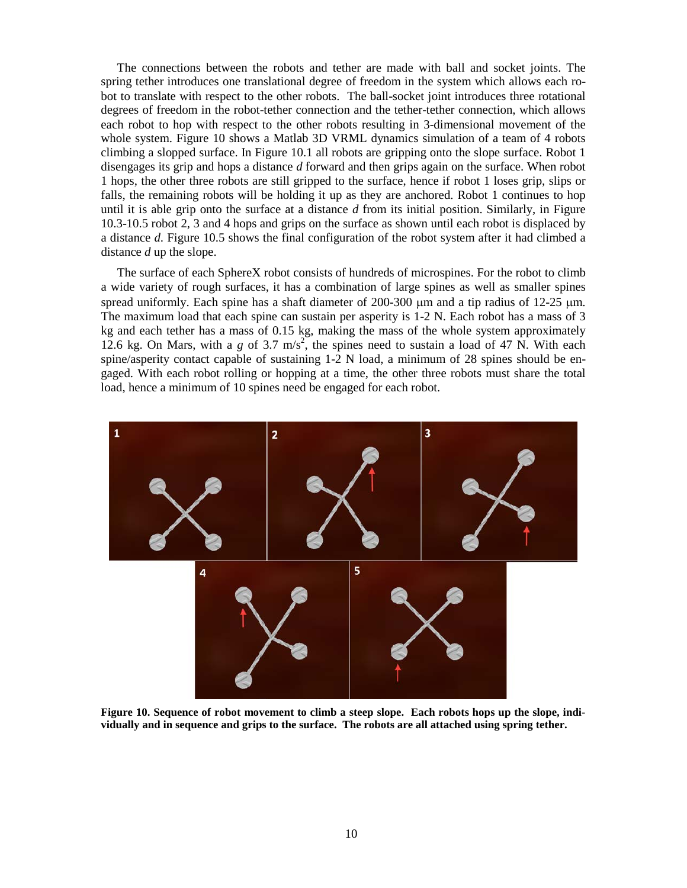The connections between the robots and tether are made with ball and socket joints. The spring tether introduces one translational degree of freedom in the system which allows each robot to translate with respect to the other robots. The ball-socket joint introduces three rotational degrees of freedom in the robot-tether connection and the tether-tether connection, which allows each robot to hop with respect to the other robots resulting in 3-dimensional movement of the whole system. Figure 10 shows a Matlab 3D VRML dynamics simulation of a team of 4 robots climbing a slopped surface. In Figure 10.1 all robots are gripping onto the slope surface. Robot 1 disengages its grip and hops a distance *d* forward and then grips again on the surface. When robot 1 hops, the other three robots are still gripped to the surface, hence if robot 1 loses grip, slips or falls, the remaining robots will be holding it up as they are anchored. Robot 1 continues to hop until it is able grip onto the surface at a distance *d* from its initial position. Similarly, in Figure 10.3-10.5 robot 2, 3 and 4 hops and grips on the surface as shown until each robot is displaced by a distance *d*. Figure 10.5 shows the final configuration of the robot system after it had climbed a distance *d* up the slope.

The surface of each SphereX robot consists of hundreds of microspines. For the robot to climb a wide variety of rough surfaces, it has a combination of large spines as well as smaller spines spread uniformly. Each spine has a shaft diameter of 200-300  $\mu$ m and a tip radius of 12-25  $\mu$ m. The maximum load that each spine can sustain per asperity is 1-2 N. Each robot has a mass of 3 kg and each tether has a mass of 0.15 kg, making the mass of the whole system approximately 12.6 kg. On Mars, with a  $g$  of 3.7 m/s<sup>2</sup>, the spines need to sustain a load of 47 N. With each spine/asperity contact capable of sustaining 1-2 N load, a minimum of 28 spines should be engaged. With each robot rolling or hopping at a time, the other three robots must share the total load, hence a minimum of 10 spines need be engaged for each robot.



**Figure 10. Sequence of robot movement to climb a steep slope. Each robots hops up the slope, individually and in sequence and grips to the surface. The robots are all attached using spring tether.**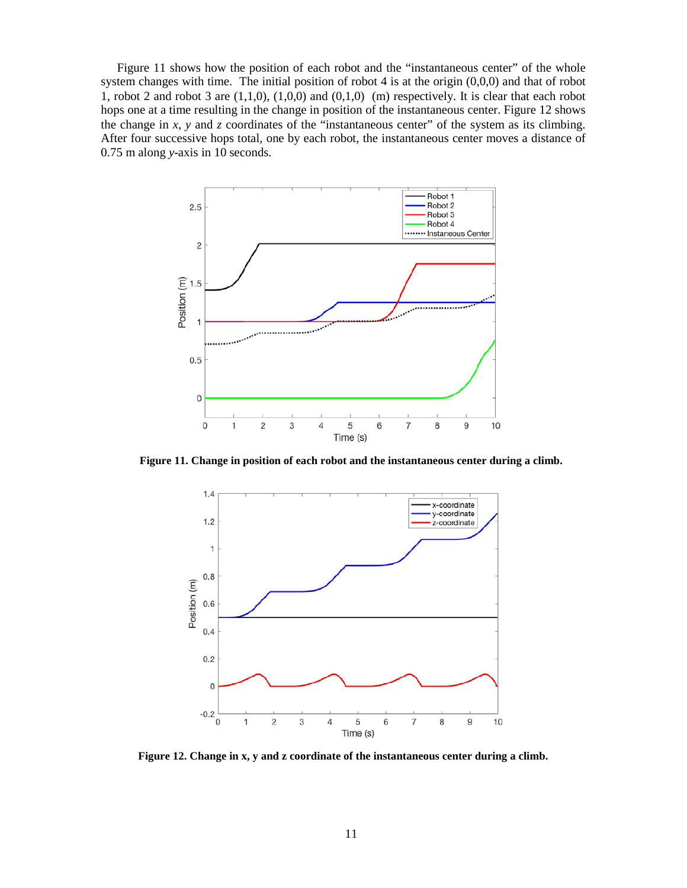Figure 11 shows how the position of each robot and the "instantaneous center" of the whole system changes with time. The initial position of robot 4 is at the origin (0,0,0) and that of robot 1, robot 2 and robot 3 are  $(1,1,0)$ ,  $(1,0,0)$  and  $(0,1,0)$  (m) respectively. It is clear that each robot hops one at a time resulting in the change in position of the instantaneous center. Figure 12 shows the change in  $x$ ,  $y$  and  $z$  coordinates of the "instantaneous center" of the system as its climbing. After four successive hops total, one by each robot, the instantaneous center moves a distance of 0.75 m along *y*-axis in 10 seconds.



**Figure 11. Change in position of each robot and the instantaneous center during a climb.** 



**Figure 12. Change in x, y and z coordinate of the instantaneous center during a climb.**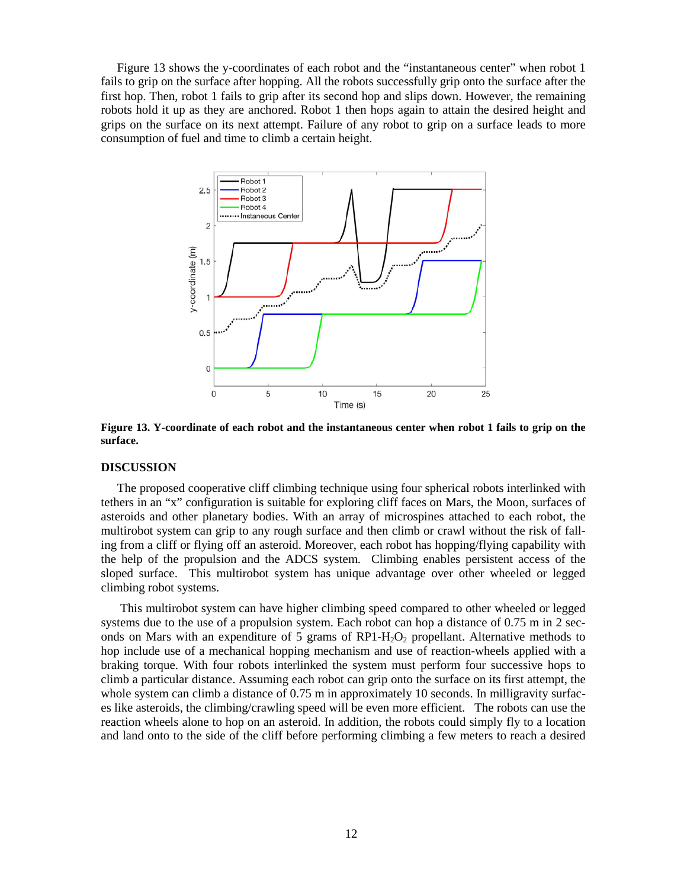Figure 13 shows the y-coordinates of each robot and the "instantaneous center" when robot 1 fails to grip on the surface after hopping. All the robots successfully grip onto the surface after the first hop. Then, robot 1 fails to grip after its second hop and slips down. However, the remaining robots hold it up as they are anchored. Robot 1 then hops again to attain the desired height and grips on the surface on its next attempt. Failure of any robot to grip on a surface leads to more consumption of fuel and time to climb a certain height.



**Figure 13. Y-coordinate of each robot and the instantaneous center when robot 1 fails to grip on the surface.**

#### **DISCUSSION**

The proposed cooperative cliff climbing technique using four spherical robots interlinked with tethers in an "x" configuration is suitable for exploring cliff faces on Mars, the Moon, surfaces of asteroids and other planetary bodies. With an array of microspines attached to each robot, the multirobot system can grip to any rough surface and then climb or crawl without the risk of falling from a cliff or flying off an asteroid. Moreover, each robot has hopping/flying capability with the help of the propulsion and the ADCS system. Climbing enables persistent access of the sloped surface. This multirobot system has unique advantage over other wheeled or legged climbing robot systems.

This multirobot system can have higher climbing speed compared to other wheeled or legged systems due to the use of a propulsion system. Each robot can hop a distance of 0.75 m in 2 seconds on Mars with an expenditure of 5 grams of  $RP1-H<sub>2</sub>O<sub>2</sub>$  propellant. Alternative methods to hop include use of a mechanical hopping mechanism and use of reaction-wheels applied with a braking torque. With four robots interlinked the system must perform four successive hops to climb a particular distance. Assuming each robot can grip onto the surface on its first attempt, the whole system can climb a distance of 0.75 m in approximately 10 seconds. In milligravity surfaces like asteroids, the climbing/crawling speed will be even more efficient. The robots can use the reaction wheels alone to hop on an asteroid. In addition, the robots could simply fly to a location and land onto to the side of the cliff before performing climbing a few meters to reach a desired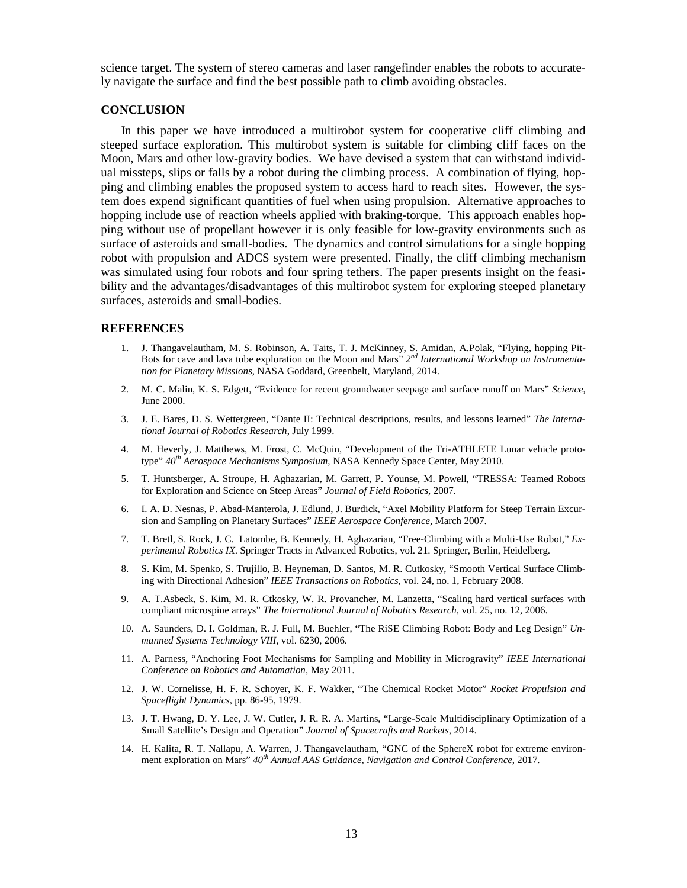science target. The system of stereo cameras and laser rangefinder enables the robots to accurately navigate the surface and find the best possible path to climb avoiding obstacles.

#### **CONCLUSION**

In this paper we have introduced a multirobot system for cooperative cliff climbing and steeped surface exploration. This multirobot system is suitable for climbing cliff faces on the Moon, Mars and other low-gravity bodies. We have devised a system that can withstand individual missteps, slips or falls by a robot during the climbing process. A combination of flying, hopping and climbing enables the proposed system to access hard to reach sites. However, the system does expend significant quantities of fuel when using propulsion. Alternative approaches to hopping include use of reaction wheels applied with braking-torque. This approach enables hopping without use of propellant however it is only feasible for low-gravity environments such as surface of asteroids and small-bodies. The dynamics and control simulations for a single hopping robot with propulsion and ADCS system were presented. Finally, the cliff climbing mechanism was simulated using four robots and four spring tethers. The paper presents insight on the feasibility and the advantages/disadvantages of this multirobot system for exploring steeped planetary surfaces, asteroids and small-bodies.

#### **REFERENCES**

- 1. J. Thangavelautham, M. S. Robinson, A. Taits, T. J. McKinney, S. Amidan, A.Polak, "Flying, hopping Pit-Bots for cave and lava tube exploration on the Moon and Mars" *2nd International Workshop on Instrumentation for Planetary Missions*, NASA Goddard, Greenbelt, Maryland, 2014.
- 2. M. C. Malin, K. S. Edgett, "Evidence for recent groundwater seepage and surface runoff on Mars" *Science*, June 2000.
- 3. J. E. Bares, D. S. Wettergreen, "Dante II: Technical descriptions, results, and lessons learned" *The International Journal of Robotics Research*, July 1999.
- 4. M. Heverly, J. Matthews, M. Frost, C. McQuin, "Development of the Tri-ATHLETE Lunar vehicle prototype" *40th Aerospace Mechanisms Symposium*, NASA Kennedy Space Center, May 2010.
- 5. T. Huntsberger, A. Stroupe, H. Aghazarian, M. Garrett, P. Younse, M. Powell, "TRESSA: Teamed Robots for Exploration and Science on Steep Areas" *Journal of Field Robotics*, 2007.
- 6. I. A. D. Nesnas, P. Abad-Manterola, J. Edlund, J. Burdick, "Axel Mobility Platform for Steep Terrain Excursion and Sampling on Planetary Surfaces" *IEEE Aerospace Conference*, March 2007.
- 7. T. Bretl, S. Rock, J. C. Latombe, B. Kennedy, H. Aghazarian, "Free-Climbing with a Multi-Use Robot," *Experimental Robotics IX*. Springer Tracts in Advanced Robotics, vol. 21. Springer, Berlin, Heidelberg.
- 8. S. Kim, M. Spenko, S. Trujillo, B. Heyneman, D. Santos, M. R. Cutkosky, "Smooth Vertical Surface Climbing with Directional Adhesion" *IEEE Transactions on Robotics*, vol. 24, no. 1, February 2008.
- 9. A. T.Asbeck, S. Kim, M. R. Ctkosky, W. R. Provancher, M. Lanzetta, "Scaling hard vertical surfaces with compliant microspine arrays" *The International Journal of Robotics Research*, vol. 25, no. 12, 2006.
- 10. A. Saunders, D. I. Goldman, R. J. Full, M. Buehler, "The RiSE Climbing Robot: Body and Leg Design" *Unmanned Systems Technology VIII*, vol. 6230, 2006.
- 11. A. Parness, "Anchoring Foot Mechanisms for Sampling and Mobility in Microgravity" *IEEE International Conference on Robotics and Automation*, May 2011.
- 12. J. W. Cornelisse, H. F. R. Schoyer, K. F. Wakker, "The Chemical Rocket Motor" *Rocket Propulsion and Spaceflight Dynamics*, pp. 86-95, 1979.
- 13. J. T. Hwang, D. Y. Lee, J. W. Cutler, J. R. R. A. Martins, "Large-Scale Multidisciplinary Optimization of a Small Satellite's Design and Operation" *Journal of Spacecrafts and Rockets*, 2014.
- 14. H. Kalita, R. T. Nallapu, A. Warren, J. Thangavelautham, "GNC of the SphereX robot for extreme environment exploration on Mars" *40th Annual AAS Guidance, Navigation and Control Conference*, 2017.